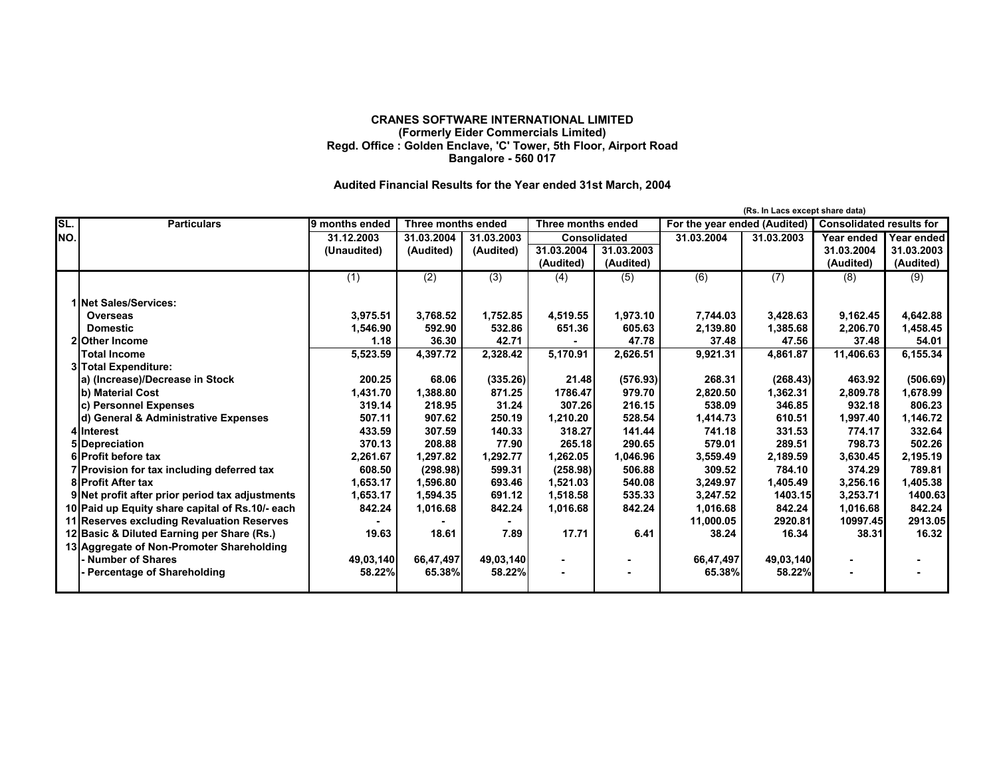## **CRANES SOFTWARE INTERNATIONAL LIMITED (Formerly Eider Commercials Limited) Regd. Office : Golden Enclave, 'C' Tower, 5th Floor, Airport Road Bangalore - 560 017**

## **Audited Financial Results for the Year ended 31st March, 2004**

|     |                                                 |                |                    |                  |                     |            |                              | (Rs. In Lacs except share data) |                                 |            |
|-----|-------------------------------------------------|----------------|--------------------|------------------|---------------------|------------|------------------------------|---------------------------------|---------------------------------|------------|
| SL. | <b>Particulars</b>                              | 9 months ended | Three months ended |                  | Three months ended  |            | For the year ended (Audited) |                                 | <b>Consolidated results for</b> |            |
| NO. |                                                 | 31.12.2003     | 31.03.2004         | 31.03.2003       | <b>Consolidated</b> |            | 31.03.2004                   | 31.03.2003                      | Year ended                      | Year ended |
|     |                                                 | (Unaudited)    | (Audited)          | (Audited)        | 31.03.2004          | 31.03.2003 |                              |                                 | 31.03.2004                      | 31.03.2003 |
|     |                                                 |                |                    |                  | (Audited)           | (Audited)  |                              |                                 | (Audited)                       | (Audited)  |
|     |                                                 | (1)            | $\overline{(2)}$   | $\overline{(3)}$ | (4)                 | (5)        | $\overline{(6)}$             | $\overline{(7)}$                | (8)                             | (9)        |
|     | 1 Net Sales/Services:                           |                |                    |                  |                     |            |                              |                                 |                                 |            |
|     | <b>Overseas</b>                                 | 3,975.51       | 3,768.52           | 1,752.85         | 4,519.55            | 1,973.10   | 7,744.03                     | 3,428.63                        | 9,162.45                        | 4,642.88   |
|     | <b>Domestic</b>                                 | 1,546.90       | 592.90             | 532.86           | 651.36              | 605.63     | 2,139.80                     | 1,385.68                        | 2,206.70                        | 1,458.45   |
|     | 2lOther Income                                  | 1.18           | 36.30              | 42.71            |                     | 47.78      | 37.48                        | 47.56                           | 37.48                           | 54.01      |
|     | <b>Total Income</b>                             | 5,523.59       | 4,397.72           | 2,328.42         | 5,170.91            | 2,626.51   | 9,921.31                     | 4,861.87                        | 11,406.63                       | 6,155.34   |
|     | 3 Total Expenditure:                            |                |                    |                  |                     |            |                              |                                 |                                 |            |
|     | a) (Increase)/Decrease in Stock                 | 200.25         | 68.06              | (335.26)         | 21.48               | (576.93)   | 268.31                       | (268.43)                        | 463.92                          | (506.69)   |
|     | b) Material Cost                                | 1,431.70       | 1,388.80           | 871.25           | 1786.47             | 979.70     | 2,820.50                     | 1,362.31                        | 2,809.78                        | 1,678.99   |
|     | c) Personnel Expenses                           | 319.14         | 218.95             | 31.24            | 307.26              | 216.15     | 538.09                       | 346.85                          | 932.18                          | 806.23     |
|     | d) General & Administrative Expenses            | 507.11         | 907.62             | 250.19           | 1,210.20            | 528.54     | 1,414.73                     | 610.51                          | 1,997.40                        | 1,146.72   |
|     | 4lInterest                                      | 433.59         | 307.59             | 140.33           | 318.27              | 141.44     | 741.18                       | 331.53                          | 774.17                          | 332.64     |
|     | 5 Depreciation                                  | 370.13         | 208.88             | 77.90            | 265.18              | 290.65     | 579.01                       | 289.51                          | 798.73                          | 502.26     |
|     | 6 Profit before tax                             | 2,261.67       | 1.297.82           | 1,292.77         | 1.262.05            | 1,046.96   | 3,559.49                     | 2,189.59                        | 3,630.45                        | 2,195.19   |
|     | 7 Provision for tax including deferred tax      | 608.50         | (298.98)           | 599.31           | (258.98)            | 506.88     | 309.52                       | 784.10                          | 374.29                          | 789.81     |
|     | <b>8 Profit After tax</b>                       | 1,653.17       | 1,596.80           | 693.46           | 1,521.03            | 540.08     | 3,249.97                     | 1,405.49                        | 3,256.16                        | 1,405.38   |
|     | 9 Net profit after prior period tax adjustments | 1,653.17       | 1,594.35           | 691.12           | 1,518.58            | 535.33     | 3,247.52                     | 1403.15                         | 3,253.71                        | 1400.63    |
|     | 10 Paid up Equity share capital of Rs.10/- each | 842.24         | 1,016.68           | 842.24           | 1,016.68            | 842.24     | 1,016.68                     | 842.24                          | 1,016.68                        | 842.24     |
|     | 11 Reserves excluding Revaluation Reserves      |                |                    |                  |                     |            | 11,000.05                    | 2920.81                         | 10997.45                        | 2913.05    |
|     | 12 Basic & Diluted Earning per Share (Rs.)      | 19.63          | 18.61              | 7.89             | 17.71               | 6.41       | 38.24                        | 16.34                           | 38.31                           | 16.32      |
|     | 13 Aggregate of Non-Promoter Shareholding       |                |                    |                  |                     |            |                              |                                 |                                 |            |
|     | - Number of Shares                              | 49,03,140      | 66,47,497          | 49,03,140        | ٠                   |            | 66,47,497                    | 49,03,140                       |                                 |            |
|     | - Percentage of Shareholding                    | 58.22%         | 65.38%             | 58.22%           |                     |            | 65.38%                       | 58.22%                          |                                 |            |
|     |                                                 |                |                    |                  |                     |            |                              |                                 |                                 |            |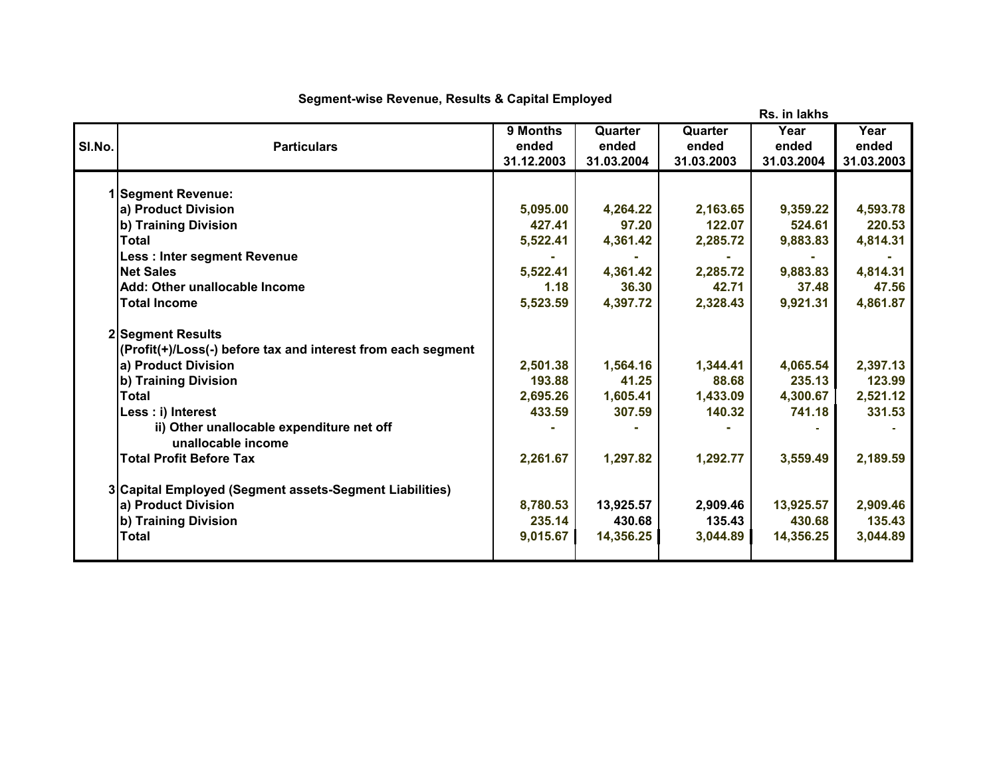|        |                                                              |            |            |            | Rs. in lakhs |            |
|--------|--------------------------------------------------------------|------------|------------|------------|--------------|------------|
|        |                                                              | 9 Months   | Quarter    | Quarter    | Year         | Year       |
| SI.No. | <b>Particulars</b>                                           | ended      | ended      | ended      | ended        | ended      |
|        |                                                              | 31.12.2003 | 31.03.2004 | 31.03.2003 | 31.03.2004   | 31.03.2003 |
|        | 1 Segment Revenue:                                           |            |            |            |              |            |
|        | a) Product Division                                          | 5,095.00   | 4,264.22   | 2,163.65   | 9,359.22     | 4,593.78   |
|        | b) Training Division                                         | 427.41     | 97.20      | 122.07     | 524.61       | 220.53     |
|        | <b>Total</b>                                                 | 5,522.41   | 4,361.42   | 2,285.72   | 9,883.83     | 4,814.31   |
|        | Less : Inter segment Revenue                                 |            |            |            |              |            |
|        | <b>Net Sales</b>                                             | 5,522.41   | 4,361.42   | 2,285.72   | 9,883.83     | 4,814.31   |
|        | Add: Other unallocable Income                                | 1.18       | 36.30      | 42.71      | 37.48        | 47.56      |
|        | <b>Total Income</b>                                          | 5,523.59   | 4,397.72   | 2,328.43   | 9,921.31     | 4,861.87   |
|        | 2 Segment Results                                            |            |            |            |              |            |
|        | (Profit(+)/Loss(-) before tax and interest from each segment |            |            |            |              |            |
|        | a) Product Division                                          | 2,501.38   | 1,564.16   | 1,344.41   | 4,065.54     | 2,397.13   |
|        | b) Training Division                                         | 193.88     | 41.25      | 88.68      | 235.13       | 123.99     |
|        | Total                                                        | 2,695.26   | 1,605.41   | 1,433.09   | 4,300.67     | 2,521.12   |
|        | Less : i) Interest                                           | 433.59     | 307.59     | 140.32     | 741.18       | 331.53     |
|        | ii) Other unallocable expenditure net off                    |            |            |            |              |            |
|        | unallocable income                                           |            |            |            |              |            |
|        | <b>Total Profit Before Tax</b>                               | 2,261.67   | 1,297.82   | 1,292.77   | 3,559.49     | 2,189.59   |
|        | 3 Capital Employed (Segment assets-Segment Liabilities)      |            |            |            |              |            |
|        | a) Product Division                                          | 8,780.53   | 13,925.57  | 2,909.46   | 13,925.57    | 2,909.46   |
|        | b) Training Division                                         | 235.14     | 430.68     | 135.43     | 430.68       | 135.43     |
|        | <b>Total</b>                                                 | 9,015.67   | 14,356.25  | 3,044.89   | 14,356.25    | 3,044.89   |
|        |                                                              |            |            |            |              |            |

## **Segment-wise Revenue, Results & Capital Employed**